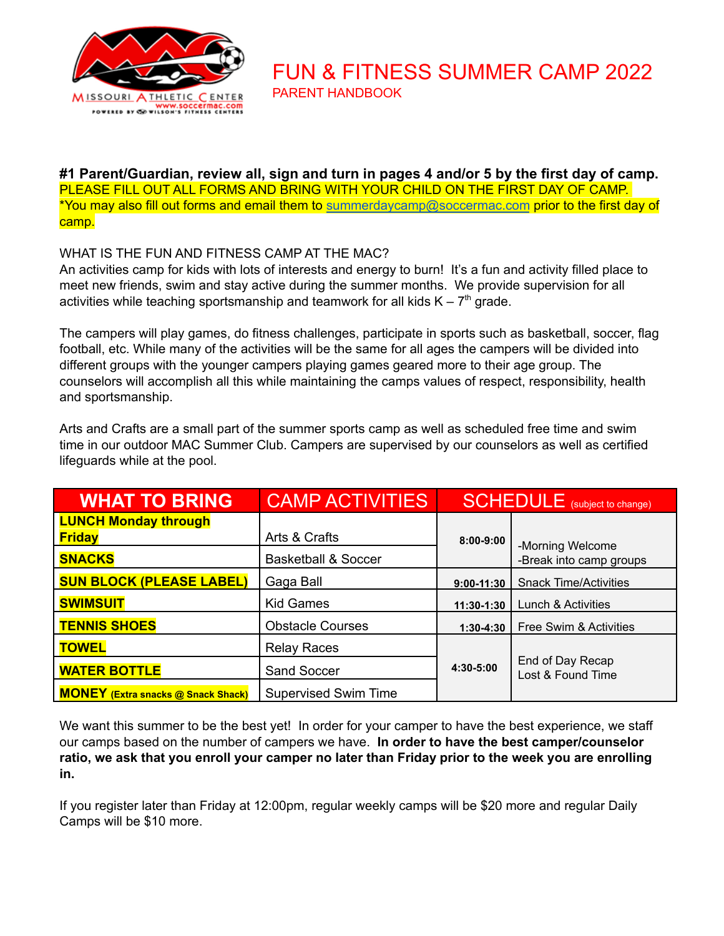

PARENT HANDBOOK

FUN & FITNESS SUMMER CAMP 2022

**#1 Parent/Guardian, review all, sign and turn in pages 4 and/or 5 by the first day of camp.** PLEASE FILL OUT ALL FORMS AND BRING WITH YOUR CHILD ON THE FIRST DAY OF CAMP. \*You may also fill out forms and email them to [summerdaycamp@soccermac.com](mailto:summerdaycamp@soccermac.com) prior to the first day of camp.

## WHAT IS THE FUN AND FITNESS CAMP AT THE MAC?

An activities camp for kids with lots of interests and energy to burn! It's a fun and activity filled place to meet new friends, swim and stay active during the summer months. We provide supervision for all activities while teaching sportsmanship and teamwork for all kids  $K - 7<sup>th</sup>$  grade.

The campers will play games, do fitness challenges, participate in sports such as basketball, soccer, flag football, etc. While many of the activities will be the same for all ages the campers will be divided into different groups with the younger campers playing games geared more to their age group. The counselors will accomplish all this while maintaining the camps values of respect, responsibility, health and sportsmanship.

Arts and Crafts are a small part of the summer sports camp as well as scheduled free time and swim time in our outdoor MAC Summer Club. Campers are supervised by our counselors as well as certified lifeguards while at the pool.

| <b>WHAT TO BRING</b>                      | <b>CAMP ACTIVITIES</b>         | <b>SCHEDULE</b> (subject to change) |                                             |
|-------------------------------------------|--------------------------------|-------------------------------------|---------------------------------------------|
| <b>LUNCH Monday through</b>               |                                |                                     |                                             |
| <b>Friday</b>                             | Arts & Crafts                  | $8:00 - 9:00$                       | -Morning Welcome<br>-Break into camp groups |
| <b>SNACKS</b>                             | <b>Basketball &amp; Soccer</b> |                                     |                                             |
| <b>SUN BLOCK (PLEASE LABEL)</b>           | Gaga Ball                      | $9:00 - 11:30$                      | <b>Snack Time/Activities</b>                |
| <b>SWIMSUIT</b>                           | <b>Kid Games</b>               | 11:30-1:30                          | Lunch & Activities                          |
| <b>TENNIS SHOES</b>                       | <b>Obstacle Courses</b>        | $1:30-4:30$                         | Free Swim & Activities                      |
| <b>TOWEL</b>                              | <b>Relay Races</b>             |                                     | End of Day Recap<br>Lost & Found Time       |
| <b>WATER BOTTLE</b>                       | Sand Soccer                    | 4:30-5:00                           |                                             |
| <b>MONEY</b> (Extra snacks @ Snack Shack) | <b>Supervised Swim Time</b>    |                                     |                                             |

We want this summer to be the best yet! In order for your camper to have the best experience, we staff our camps based on the number of campers we have. **In order to have the best camper/counselor** ratio, we ask that you enroll your camper no later than Friday prior to the week you are enrolling **in.**

If you register later than Friday at 12:00pm, regular weekly camps will be \$20 more and regular Daily Camps will be \$10 more.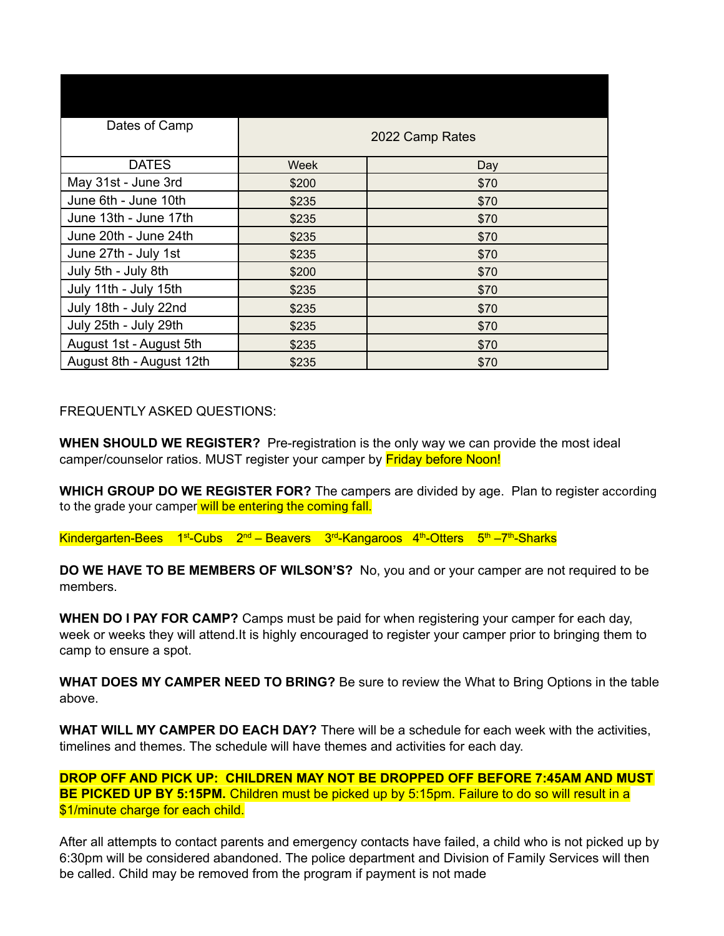| Dates of Camp            | 2022 Camp Rates |      |  |
|--------------------------|-----------------|------|--|
| <b>DATES</b>             | Week            | Day  |  |
| May 31st - June 3rd      | \$200           | \$70 |  |
| June 6th - June 10th     | \$235           | \$70 |  |
| June 13th - June 17th    | \$235           | \$70 |  |
| June 20th - June 24th    | \$235           | \$70 |  |
| June 27th - July 1st     | \$235           | \$70 |  |
| July 5th - July 8th      | \$200           | \$70 |  |
| July 11th - July 15th    | \$235           | \$70 |  |
| July 18th - July 22nd    | \$235           | \$70 |  |
| July 25th - July 29th    | \$235           | \$70 |  |
| August 1st - August 5th  | \$235           | \$70 |  |
| August 8th - August 12th | \$235           | \$70 |  |

FREQUENTLY ASKED QUESTIONS:

**WHEN SHOULD WE REGISTER?** Pre-registration is the only way we can provide the most ideal camper/counselor ratios. MUST register your camper by **Friday before Noon!** 

**WHICH GROUP DO WE REGISTER FOR?** The campers are divided by age. Plan to register according to the grade your camper will be entering the coming fall.

Kindergarten-Bees 1<sup>st</sup>-Cubs 2<sup>nd</sup> – Beavers 3<sup>rd</sup>-Kangaroos 4<sup>th</sup>-Otters 5<sup>th</sup> –7<sup>th</sup>-Sharks

**DO WE HAVE TO BE MEMBERS OF WILSON'S?** No, you and or your camper are not required to be members.

**WHEN DO I PAY FOR CAMP?** Camps must be paid for when registering your camper for each day, week or weeks they will attend.It is highly encouraged to register your camper prior to bringing them to camp to ensure a spot.

**WHAT DOES MY CAMPER NEED TO BRING?** Be sure to review the What to Bring Options in the table above.

**WHAT WILL MY CAMPER DO EACH DAY?** There will be a schedule for each week with the activities, timelines and themes. The schedule will have themes and activities for each day.

**DROP OFF AND PICK UP: CHILDREN MAY NOT BE DROPPED OFF BEFORE 7:45AM AND MUST BE PICKED UP BY 5:15PM.** Children must be picked up by 5:15pm. Failure to do so will result in a \$1/minute charge for each child.

After all attempts to contact parents and emergency contacts have failed, a child who is not picked up by 6:30pm will be considered abandoned. The police department and Division of Family Services will then be called. Child may be removed from the program if payment is not made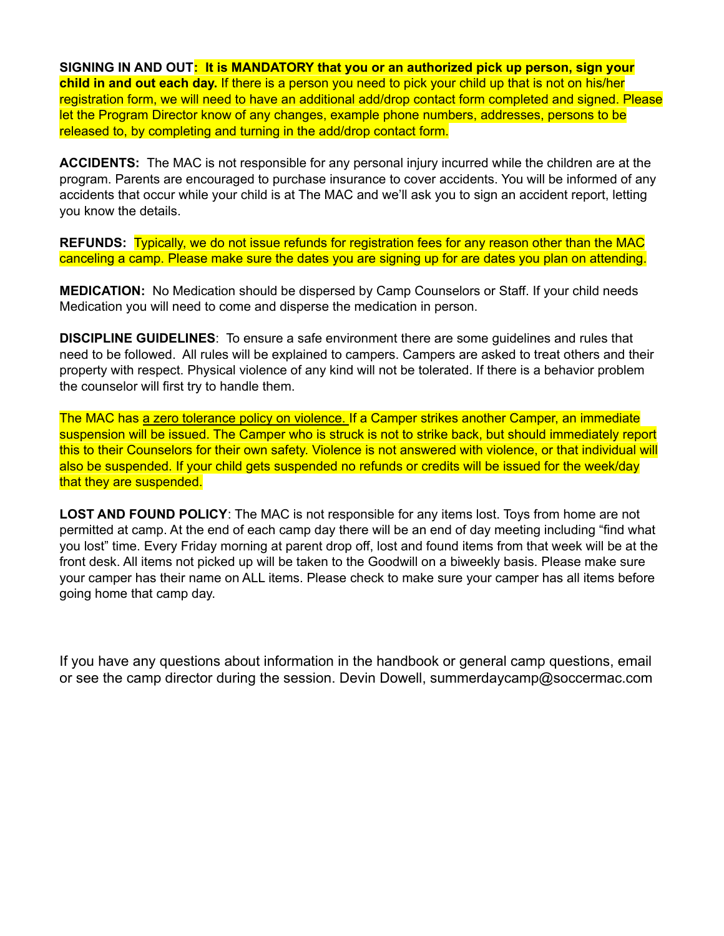**SIGNING IN AND OUT: It is MANDATORY that you or an authorized pick up person, sign your child in and out each day.** If there is a person you need to pick your child up that is not on his/her registration form, we will need to have an additional add/drop contact form completed and signed. Please let the Program Director know of any changes, example phone numbers, addresses, persons to be released to, by completing and turning in the add/drop contact form.

**ACCIDENTS:** The MAC is not responsible for any personal injury incurred while the children are at the program. Parents are encouraged to purchase insurance to cover accidents. You will be informed of any accidents that occur while your child is at The MAC and we'll ask you to sign an accident report, letting you know the details.

**REFUNDS:** Typically, we do not issue refunds for registration fees for any reason other than the MAC canceling a camp. Please make sure the dates you are signing up for are dates you plan on attending.

**MEDICATION:** No Medication should be dispersed by Camp Counselors or Staff. If your child needs Medication you will need to come and disperse the medication in person.

**DISCIPLINE GUIDELINES**: To ensure a safe environment there are some guidelines and rules that need to be followed. All rules will be explained to campers. Campers are asked to treat others and their property with respect. Physical violence of any kind will not be tolerated. If there is a behavior problem the counselor will first try to handle them.

The MAC has a zero tolerance policy on violence. If a Camper strikes another Camper, an immediate suspension will be issued. The Camper who is struck is not to strike back, but should immediately report this to their Counselors for their own safety. Violence is not answered with violence, or that individual will also be suspended. If your child gets suspended no refunds or credits will be issued for the week/day that they are suspended.

**LOST AND FOUND POLICY**: The MAC is not responsible for any items lost. Toys from home are not permitted at camp. At the end of each camp day there will be an end of day meeting including "find what you lost" time. Every Friday morning at parent drop off, lost and found items from that week will be at the front desk. All items not picked up will be taken to the Goodwill on a biweekly basis. Please make sure your camper has their name on ALL items. Please check to make sure your camper has all items before going home that camp day.

If you have any questions about information in the handbook or general camp questions, email or see the camp director during the session. Devin Dowell, summerdaycamp@soccermac.com